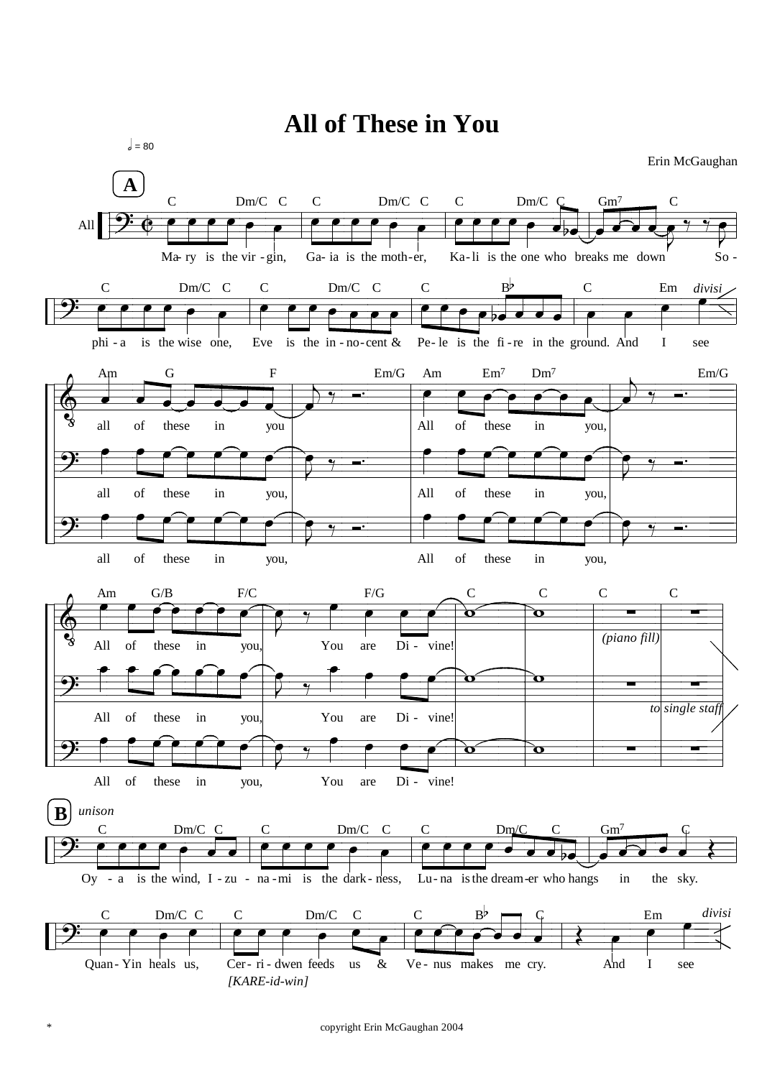



Erin McGaughan

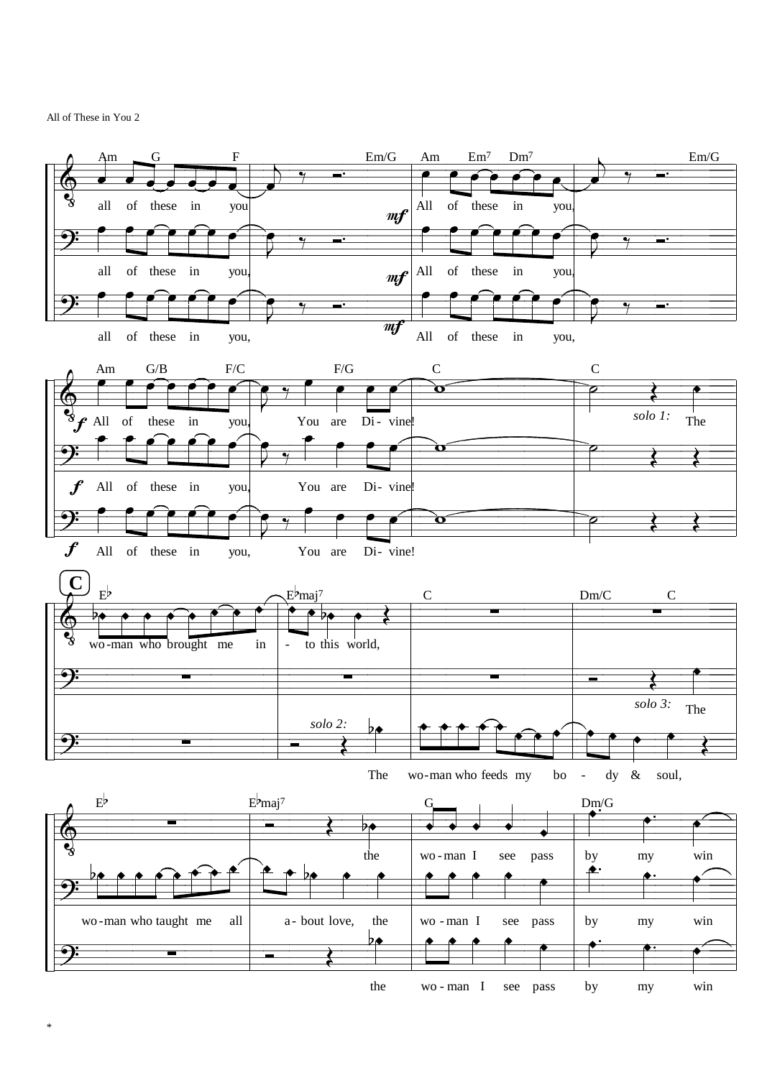All of These in You 2

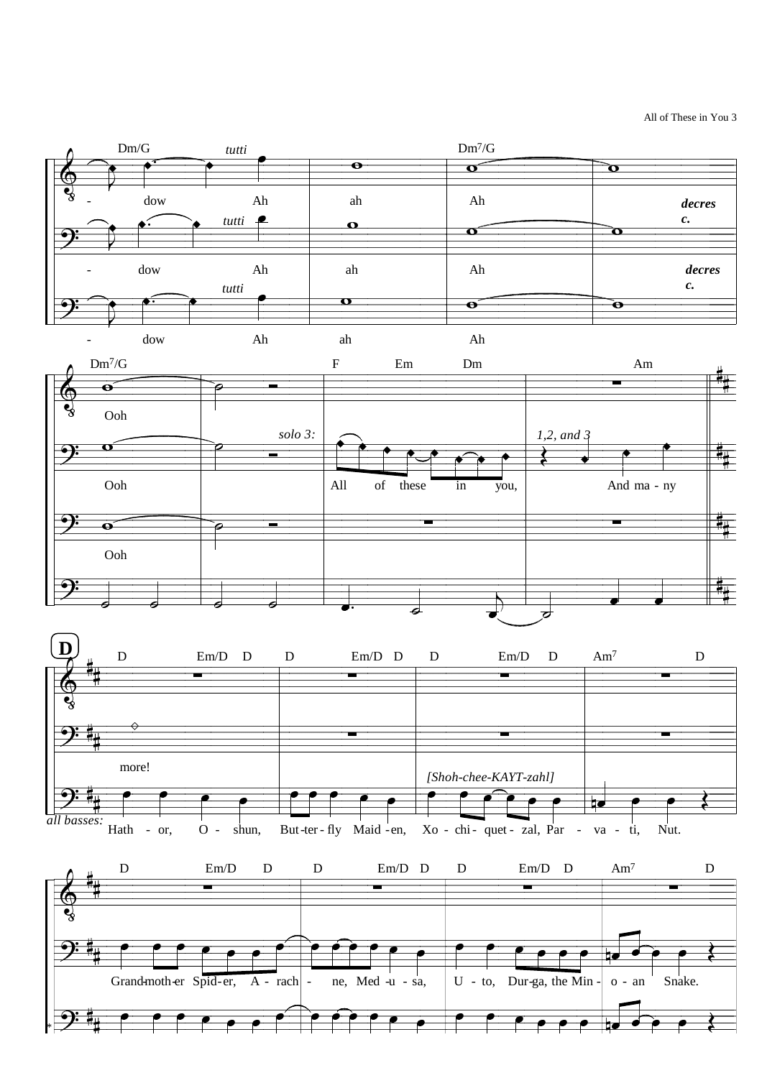





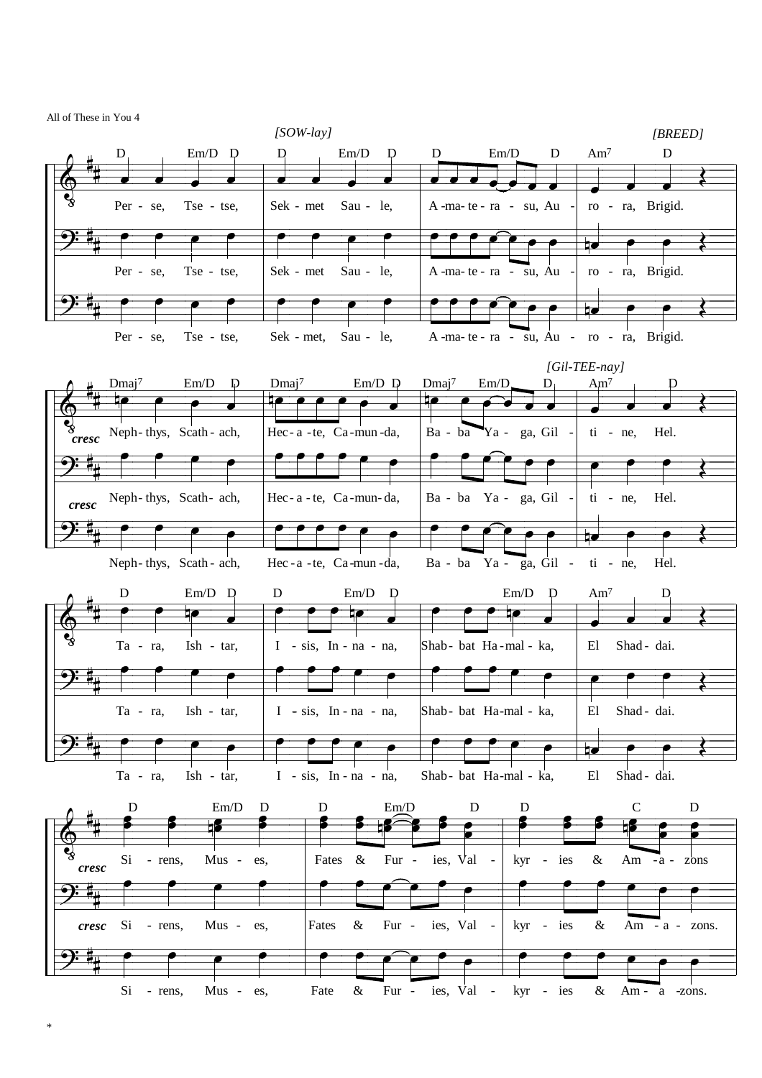All of These in You 4

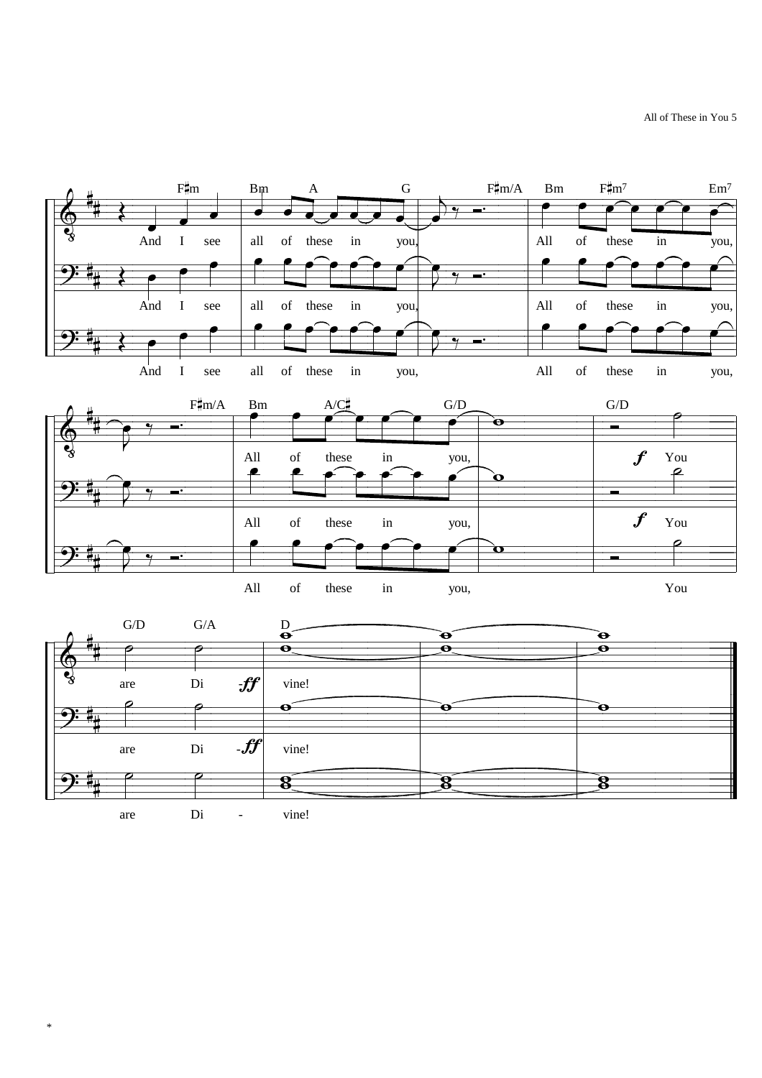







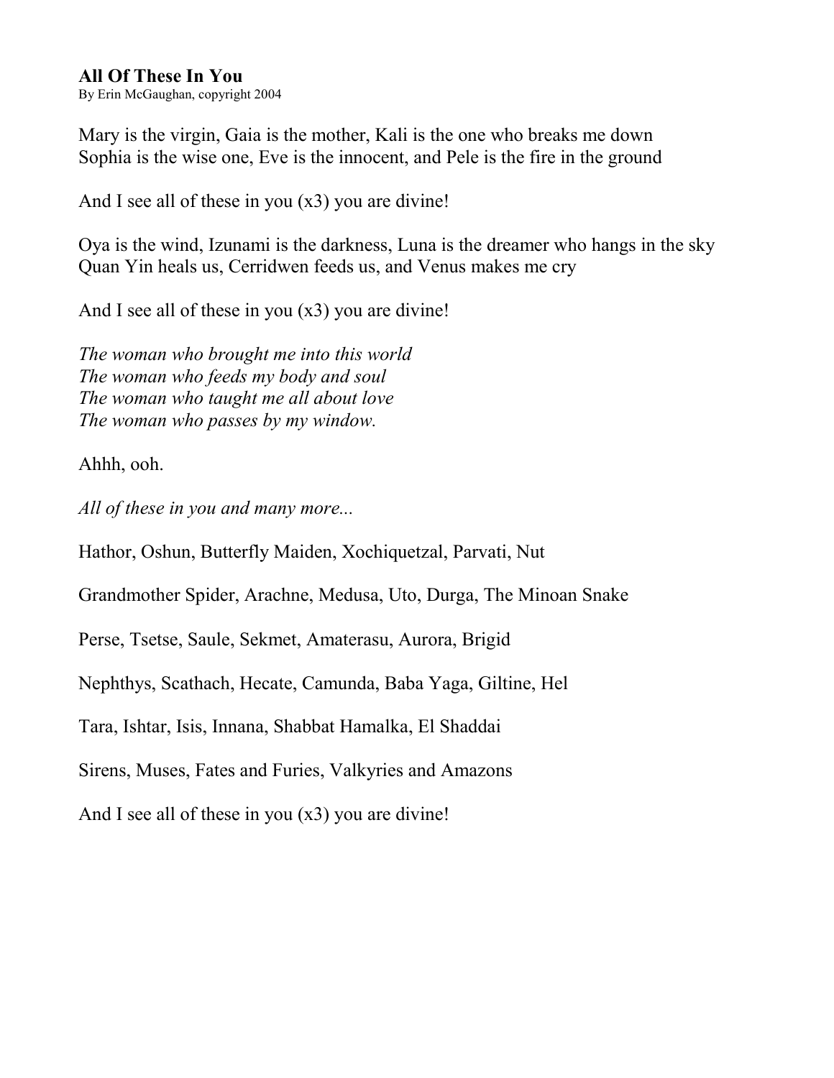## All Of These In You

By Erin McGaughan, copyright 2004

Mary is the virgin, Gaia is the mother, Kali is the one who breaks me down Sophia is the wise one, Eve is the innocent, and Pele is the fire in the ground

And I see all of these in you  $(x3)$  you are divine!

Oya is the wind, Izunami is the darkness, Luna is the dreamer who hangs in the sky Quan Yin heals us, Cerridwen feeds us, and Venus makes me cry

And I see all of these in you (x3) you are divine!

The woman who brought me into this world The woman who feeds my body and soul The woman who taught me all about love The woman who passes by my window.

Ahhh, ooh.

All of these in you and many more...

Hathor, Oshun, Butterfly Maiden, Xochiquetzal, Parvati, Nut

Grandmother Spider, Arachne, Medusa, Uto, Durga, The Minoan Snake

Perse, Tsetse, Saule, Sekmet, Amaterasu, Aurora, Brigid

Nephthys, Scathach, Hecate, Camunda, Baba Yaga, Giltine, Hel

Tara, Ishtar, Isis, Innana, Shabbat Hamalka, El Shaddai

Sirens, Muses, Fates and Furies, Valkyries and Amazons

And I see all of these in you (x3) you are divine!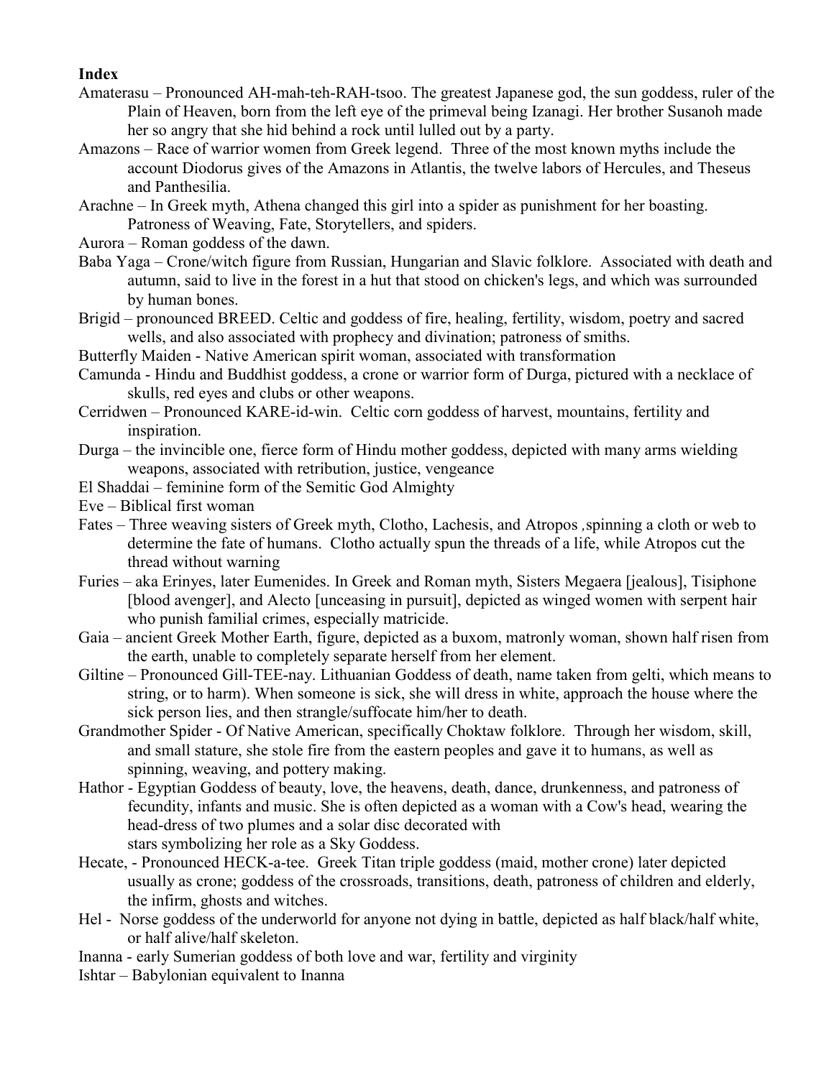## Index

- Amaterasu Pronounced AH-mah-teh-RAH-tsoo. The greatest Japanese god, the sun goddess, ruler of the Plain of Heaven, born from the left eye of the primeval being Izanagi. Her brother Susanoh made her so angry that she hid behind a rock until lulled out by a party.
- Amazons Race of warrior women from Greek legend. Three of the most known myths include the account Diodorus gives of the Amazons in Atlantis, the twelve labors of Hercules, and Theseus and Panthesilia.
- Arachne In Greek myth, Athena changed this girl into a spider as punishment for her boasting. Patroness of Weaving, Fate, Storytellers, and spiders.
- Aurora Roman goddess of the dawn.
- Baba Yaga Crone/witch figure from Russian, Hungarian and Slavic folklore. Associated with death and autumn, said to live in the forest in a hut that stood on chicken's legs, and which was surrounded by human bones.
- Brigid pronounced BREED. Celtic and goddess of fire, healing, fertility, wisdom, poetry and sacred wells, and also associated with prophecy and divination; patroness of smiths.
- Butterfly Maiden Native American spirit woman, associated with transformation
- Camunda Hindu and Buddhist goddess, a crone or warrior form of Durga, pictured with a necklace of skulls, red eyes and clubs or other weapons.
- Cerridwen Pronounced KARE-id-win. Celtic corn goddess of harvest, mountains, fertility and inspiration.
- Durga the invincible one, fierce form of Hindu mother goddess, depicted with many arms wielding weapons, associated with retribution, justice, vengeance
- El Shaddai feminine form of the Semitic God Almighty
- Eve Biblical first woman
- Fates Three weaving sisters of Greek myth, Clotho, Lachesis, and Atropos ,spinning a cloth or web to determine the fate of humans. Clotho actually spun the threads of a life, while Atropos cut the thread without warning
- Furies aka Erinyes, later Eumenides. In Greek and Roman myth, Sisters Megaera [jealous], Tisiphone [blood avenger], and Alecto [unceasing in pursuit], depicted as winged women with serpent hair who punish familial crimes, especially matricide.
- Gaia ancient Greek Mother Earth, figure, depicted as a buxom, matronly woman, shown half risen from the earth, unable to completely separate herself from her element.
- Giltine Pronounced Gill-TEE-nay. Lithuanian Goddess of death, name taken from gelti, which means to string, or to harm). When someone is sick, she will dress in white, approach the house where the sick person lies, and then strangle/suffocate him/her to death.
- Grandmother Spider Of Native American, specifically Choktaw folklore. Through her wisdom, skill, and small stature, she stole fire from the eastern peoples and gave it to humans, as well as spinning, weaving, and pottery making.
- Hathor Egyptian Goddess of beauty, love, the heavens, death, dance, drunkenness, and patroness of fecundity, infants and music. She is often depicted as a woman with a Cow's head, wearing the head-dress of two plumes and a solar disc decorated with stars symbolizing her role as a Sky Goddess.
- Hecate, Pronounced HECK-a-tee. Greek Titan triple goddess (maid, mother crone) later depicted usually as crone; goddess of the crossroads, transitions, death, patroness of children and elderly, the infirm, ghosts and witches.
- Hel Norse goddess of the underworld for anyone not dying in battle, depicted as half black/half white, or half alive/half skeleton.
- Inanna early Sumerian goddess of both love and war, fertility and virginity
- Ishtar Babylonian equivalent to Inanna